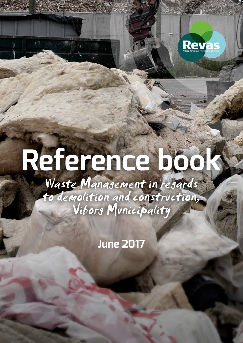

Revas

# **Reference book**

Waste Management in regards to demolition and construction,<br>Viborg Municipality

**June 2017**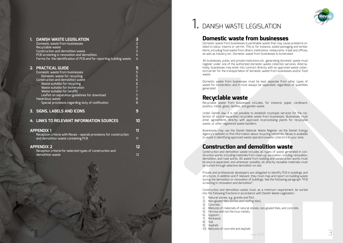| 1 <sub>1</sub> | <b>DANISH WASTE LEGISLATION</b><br>Domestic waste from businesses<br>Recyclable waste<br>Construction and demolition waste<br>PCB screening in renovation and demolition<br>Forms for the identification of PCB and for reporting building waste                                                                                                            | <b>PRARA</b><br>4<br>4                                                                                      |
|----------------|-------------------------------------------------------------------------------------------------------------------------------------------------------------------------------------------------------------------------------------------------------------------------------------------------------------------------------------------------------------|-------------------------------------------------------------------------------------------------------------|
|                | 2. PRACTICAL GUIDE<br>Domestic waste from businesses<br>Domestic waste for recycling<br><b>Construction and demolition waste</b><br>Waste suitable for recycling<br>Waste suitable for incineration<br>Waste suitable for landfill<br>Leaflet on separation guidelines for download<br>Hazardous waste<br>Special provisions regarding duty of notification | 5<br>5<br>5<br>6<br>6<br>$\overline{7}$<br>$\overline{7}$<br>$\overline{7}$<br>8<br>$\overline{\mathsf{B}}$ |
|                | 3. SIGNS, LABELS AND ICONS                                                                                                                                                                                                                                                                                                                                  | 9                                                                                                           |
|                | <b>4. LINKS TO RELEVANT INFORMATION SOURCES</b>                                                                                                                                                                                                                                                                                                             | 10                                                                                                          |
|                | <b>APPENDIX 1</b><br>Reception criteria with Revas - special provisions for construction<br>and demolition waste containing PCB                                                                                                                                                                                                                             | 11<br>11                                                                                                    |
|                | <b>APPENDIX 2</b><br>Reception criteria for selected types of construction and<br>demolition waste                                                                                                                                                                                                                                                          | 12<br>12                                                                                                    |

# 1. DANISH WASTE LEGISLATION

# **Domestic waste from businesses**

Domestic waste from businesses is perishable waste that may cause problems re lated to odour, insects or vermin. This is, for instance, soiled packaging and similar items, including food waste from diners, institutions, restaurants, trade and offices, as well as industry etc. Domestic waste from businesses is incinerated.

All businesses, public and private institutions etc. generating domestic waste must register under one of the authorized domestic waste collection services. Alterna tively, businesses may enter into contract directly with an approved waste collec tor/carrier for the transportation of domestic waste from businesses and/or food waste.

Domestic waste from businesses must be kept separate from other types of waste for incineration, and it must always be separated, regardless of quantities generated.

# **Recyclable waste**

Recyclable waste from businesses includes, for instance, paper, cardboard, plastics, metal, glass, textiles, and garden waste.

Under Danish law, it is not possible to establish municipal services for the col lection of source-separated recyclable waste from businesses. Businesses must enter agreements directly with approved re-processing plants for recyclable waste, or other registered waste handlers.

Businesses may use the Danish National Waste Register via the Danish Energy Agency's website to find information about recycling industries. Revas is available to assist in identifying approved waste operators/waste collectors in your area.

# **Construction and demolition waste**

Construction and demolition waste includes all types of waste generated in con struction works, including materials from clean-up, excavation, building, renovation, demolition, and road works. All waste from building and construction works must be source-separated, and whenever possible, all directly reusable materials must be sorted through selective demolition on site.

Private and professional developers are obligated to identify PCB in buildings and structures. In addition and if relevant, they must map and report on building waste during the demolition or renovation of buildings. See the following paragraph "PCB screening in renovation and demolition".

Construction and demolition waste must, as a minimum requirement, be sorted into the following fractions in accordance with Danish Waste Legislation:

- 1) Natural stones, e.g. granite and flint.
- 2) Non-glazed tiles (bricks and roofing tiles).
- 3) Concrete.
- 4) Mixtures of materials of natural stones, non-glazed tiles, and concrete.
- 5) Ferrous and non-ferrous metals.<br>6) Gypsum.
- 6) Gypsum.
- 7) Rockwool.
- 8) Soil.
- 9) Asphalt.
- 2 Reference book June 2017 10) Mixtures of concrete and asphalt.

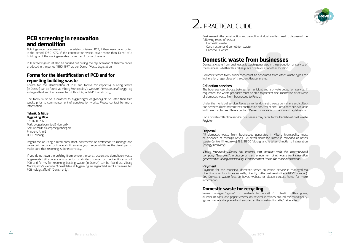

5



# **PCB screening in renovation and demolition**

Buildings must be screened for materials containing PCB, if they were constructed in the period 1950-1977, if the construction works cover more than 10  $\mathrm{m}^2$  of a building, or if the work generates more than 1 tonne of waste.

PCB screenings must also be carried out during the replacement of thermo panes produced in the period 1950-1977, as per Danish Waste Legislation.

# **Forms for the identification of PCB and for reporting building waste**

Forms for the identification of PCB and forms for reporting building waste (in Danish) can be found via Viborg Municipality's website "Anmeldelse af bygge- og anlægsaffald samt screening for PCB-holdigt affald" (Danish only).

The form must be submitted to byggeriogmiljoe@viborg.dk no later than two weeks prior to commencement of construction works. Please contact for more information:

### **Teknik & Miljø Byggeri og Miljø**

Tlf: 87 87 56 09 Mail: byggeriogmiljoe@viborg.dk Secure mail: sikkerpost@viborg.dk Prinsens Alle 5 8800 Viborg

Regardless of using a hired consultant, contractor, or craftsman to manage and carry out the construction work, it remains your responsibility as the developer to make sure that reporting is done correctly.

If you do not own the building from where the construction and demolition waste is generated (if you are a contractor or similar), forms for the identification of PCB and forms for reporting building waste (in Danish) can be found via Viborg Municipality's website "Anmeldelse af bygge- og anlægsaffald samt screening for PCB-holdigt affald" (Danish only).

Businesses in the construction and demolition industry often need to dispose of the following types of waste:

- Domestic waste
- Construction and demolition waste
- Hazardous waste

# **Domestic waste from businesses**

Domestic waste from businesses is waste generated in the production or service of the business, whether this takes place onsite or at another location.

Domestic waste from businesses must be separated from other waste types for incineration, regardless of the quantities generated.

# **Collection services**

The business can choose between a municipal and a private collection service. If requested, the waste producer must be able to present documentation of delivery of domestic waste from businesses to Revas.

Under the municipal service, Revas can offer domestic waste containers and collec tion services directly from the construction site/trailer site. Containers are available in different volumes. Please contact Revas for more information and registration.

For a private collection service, businesses may refer to the Danish National Waste Register.

# **Disposal**

All domestic waste from businesses generated in Viborg Municipality must be disposed of through Revas. Collected domestic waste is reloaded at Revas Waste Centre, Kirkebækvej 136, 8800 Viborg, and is taken directly to incineration (energy recovery).

*Viborg Municipality/Revas has entered into contract with the intermunicipal company "Energnist", in charge of the management of all waste for incineration generated in Viborg municipality. Please contact Revas for more information.*

# **Payment**

Payment for the municipal domestic waste collection service is managed via direct invoicing four times annually, directly to the business indicated (CVR number). See Domestic Waste fees on Revas' website or please contact Revas for more information.

# **Domestic waste for recycling**

Revas manages "igloos" for residents to deposit PET plastic bottles, glass, aluminium cans, and paper wastes, on several locations around the municipality. Igloos may also be placed and emptied at the construction site/trailer site.

# 2. PRACTICAL GUIDE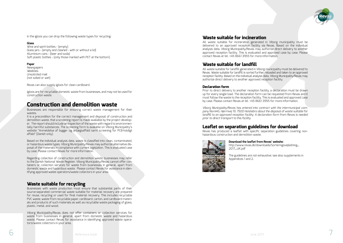



7

In the igloos you can drop the following waste types for recycling:

#### **Glass**

Wine and spirit bottles - (empty) Glass jars - (empty and cleaned - with or without a lid) Aluminium cans - (beer and soda) Soft plastic bottles - (only those marked with PET at the bottom)

#### **Paper**

Newspapers Weeklies Unsolicited mail (not soiled or wet)

Revas can also supply igloos for clean cardboard.

Igloos are for recyclable domestic waste from businesses, and may not be used for construction waste.

# **Construction and demolition waste**

Businesses are responsible for ensuring correct waste management for their wastes.

It is a precondition for the correct management and disposal of construction and demolition waste, that a screening report is made available by the project develop er. The report should include an inspection of the waste with regard to environmen tally harmful substances. The screening form is available on Viborg Municipality's website "Anmeldelse af bygge- og anlægsaffald samt screening for PCB-holdigt affald" (Danish only).

Based on the individual analysis data, waste is classified into clean, contaminated, or hazardous waste types. Viborg Municipality/Revas may authorize alternative dis posal of the materials in compliance with current legislation. This is evaluated case by case. Please contact Revas for more information.

Regarding collection of construction and demolition waste, businesses may refer to the Danish National Waste Register. Viborg Municipality/Revas cannot offer con tainers or collection services for waste from businesses in general, apart from domestic waste and hazardous waste. Please contact Revas for assistance in iden tifying approved waste operators/waste collectors in your area.

# **Waste suitable for recycling**

Businesses with waste production must ensure that substantial parts of their source-separated commercial waste suitable for material recovery are prepared for reuse, recycling or used for final material recovery. This includes recyclable PVC waste, waste from recyclable paper, cardboard, carton, and cardboard materi als and products of such materials as well as recyclable waste packaging of glass, plastic, metal, and wood.

http://www.revas.dk/downloads/Sorteringsvejledning\_ 2017\_UK.pdf **2017** LUK.pdf<br> **2017** LUK.pdf<br> **2017** LUK.pdf<br> **2017** LUK.pdf<br> **2017** LUK.pdf<br> **2017** LUK.pdf<br> **2017** Appendices 1 and 2.

Viborg Municipality/Revas does not offer containers or collection services for waste from businesses in general, apart from domestic waste and hazardous waste. Please contact Revas for assistance in identifying approved waste opera tors/waste collectors in your area.

# **Waste suitable for incineration**

All waste suitable for incineration generated in Viborg municipality must be delivered to an approved reception facility via Revas. Based on the individual analysis data, Viborg Municipality/Revas may authorize direct delivery to another approved reception facility. This is evaluated and approved case by case. Please contact Revas at tel. +45 8661 3955 for more information.

# **Waste suitable for landfill**

All waste suitable for landfill generated in Viborg municipality must be delivered to Revas. Waste suitable for landfill is sorted further, reloaded and taken to an approved reception facility. Based on the individual analysis data, Viborg Municipality/Revas may authorize direct delivery to another approved reception facility.

# **Declaration form**

Prior to direct delivery to another reception facility, a declaration must be drawn up for every single load. The declaration form can be requested from Revas and it must follow the waste to the reception facility. This is evaluated and approved case by case. Please contact Revas at tel. +45 8661 3955 for more information.

*Viborg Municipality/Revas has entered into contract with the intermunicipal company Nomi4S, Hjermvej 19, 7500 Holstebro about the disposal of waste suitable for landfill to an approved reception facility. A declaration form from Revas is needed prior to direct transport to this facility.*

# **Leaflet on separation guidelines for download**

Revas has produced a leaflet with specific separation guidelines covering nonhazardous construction and demolition waste.

# **Download the leaflet from Revas' website:**

The guidelines are not exhaustive; see also supplements in

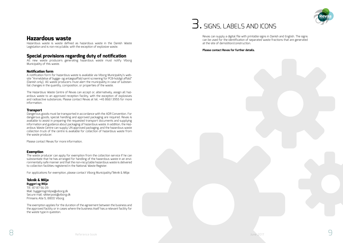**Hazardous waste**

Hazardous waste is waste defined as hazardous waste in the Danish Waste Legislation and is non-recyclable, with the exception of explosive waste.

# **Special provisions regarding duty of notification**

All new waste producers generating hazardous waste must notify Viborg Municipality of this waste.

# **Notification form**

A notification form for hazardous waste is available via Viborg Municipality's website "Anmeldelse af bygge- og anlægsaffald samt screening for PCB-holdigt affald" (Danish only). All waste producers must alert the municipality in case of substantial changes in the quantity, composition, or properties of the waste.

The Hazardous Waste Centre of Revas can accept or, alternatively, assign all hazardous waste to an approved reception facility, with the exception of explosives and radioactive substances. Please contact Revas at tel. +45 8661 3955 for more information.

#### **Transport**

Dangerous goods must be transported in accordance with the ADR Convention. For dangerous goods, special handling and approved packaging are required. Revas is available to assist in preparing the requested transport documents and supplying information and guidance about packaging of hazardous waste. In addition, the Hazardous Waste Centre can supply UN approved packaging, and the hazardous waste collection truck of the centre is available for collection of hazardous waste from the waste producer.

Please contact Revas for more information.

# **Exemption**

The waste producer can apply for exemption from the collection service if he can substantiate that he has arranged for handling of the hazardous waste in an environmentally safe manner and that the non-recyclable hazardous waste is delivered to collection facilities registered in the National Waste Register.

For applications for exemption, please contact Viborg Municipality/Teknik & Miljø:

# **Teknik & Miljø**

**Byggeri og Miljø** Tlf.: 87 87 56 09

Mail: byggeriogmiljoe@viborg.dk Secure mail: sikkerpost@viborg.dk Prinsens Alle 5, 8800 Viborg

The exemption applies for the duration of the agreement between the business and the approved facility or in cases where the business itself has a relevant facility for the waste type in question.

Revas can supply a digital file with printable signs in Danish and English. The signs can be used for the identification of separated waste fractions that are generated at the site of demolition/construction.

#### **Please contact Revas for further details.**





# 3. SIGNS, LABELS AND ICONS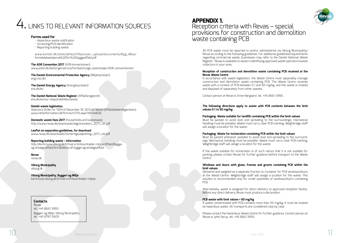# **APPENDIX 1.**  Reception criteria with Revas – special provisions for construction and demolition waste containing PCB

All PCB waste must be reported to and/or administered via Viborg Municipality/ Revas according to the following guidelines. For additional guidelines/requirements regarding commercial waste, businesses may refer to the Danish National Waste Register. Revas is available to assist in identifying approved waste operators/waste collectors in your area.

#### **Reception of construction and demolition waste containing PCB received at the Revas Waste Centre**

In accordance with waste legislation, the Waste Centre must separately manage construction and demolition waste containing PCB. The Waste Centre receives waste with a content of PCB between 0.1 and 50 mg/kg, and this waste is treated and disposed of separately from other wastes.

Contact person at Revas is Anne Nørgaard. tel. +45 8661 3955.

# **The following directions apply to waste with PCB contents between the limit values 0.1 to 50 mg/kg:**

# **Packaging: Waste suitable for landfill containing PCB within the limit values**

Must be packed to avoid dust and spreading to the surroundings; mechanical handling must be possible. Waste must carry clear PCB marking. Weighbridge staff will assign a location for the waste.

# **Packaging: Waste for incineration containing PCB within the limit values**

Must be packed whenever possible to avoid dust and spreading to the surroundings. Mechanical handling must be possible. Waste must carry clear PCB marking. Weighbridge staff will assign a location for the waste.

If the waste suitable for incineration is of such nature that it is not suitable for packing, please contact Revas for further guidance before transport to the Waste Centre.

#### **Windows and doors with glass, frames and grouts containing PCB within the limit values**

Delivered and weighed as a separate fraction to container for PCB windows/doors at the Waste Centre. Weighbridge staff will assign a location for the waste. This solution is recommended only for small quantities of windows/doors containing PCB.

Alternatively, waste is assigned for direct delivery to approved reception facility. Before any direct delivery Revas must produce a declaration.

#### **PCB waste with limit values > 50 mg/kg**

If waste contaminated with PCB contains more than 50 mg/kg, it must be treated as hazardous waste. All transports are considered case by case.

Please contact the Hazardous Waste Centre for further guidance. Contact person at Revas is Jytte Serup, tel. +45 8661 3955.



# 4. LINKS TO RELEVANT INFORMATION SOURCES

# **Forms used for**

- Hazardous waste notification
- Screening/PCB identification
- Reporting building waste

www.kombit.dk/sites/default/files/user\_upload/documents/Byg\_Miljo/ Anmeldelsesskema%20for%20byggeaffald.pdf

**The ADR Convention 2017** (ADR-konventionen) www.politi.dk/da/borgerservice/Fardsel/tunge\_koeretoejer/ADR\_konventionen/

**The Danish Environmental Protection Agency** (Miljøstyrelsen) eng.mst.dk/

**The Danish Energy Agency** (Energistyrelsen) Ens.dk/en

**The Danish National Waste Register** (Affaldsregistret) ens.dk/en/our-responsibilities/waste

#### **Danish waste legislation,**

Statutory Order no. 1309 of December 18, 2012 on Waste (Affaldsbekendtgørelsen) www.retsinformation.dk/forms/r0710.aspx?id=144826

**Domestic waste fees 2017** (households and businesses) http://www.revas.dk/downloads/dagrenovation\_2017\_UK.pdf

# **Leaflet on separation guidelines, for download**

www.revas.dk/downloads/Sorteringsvejledning\_2017\_UK.pdf

#### **Reporting building waste – information**

http://kommune.viborg.dk/Erhverv/Virksomheder-miljoe/Affald/Byggeog-anlaegsaffald/Anmeldelse-af-bygge-og-anlaegsaffald

# **Revas**

revas.dk

**Viborg Municipality**  viborg.dk

**Viborg Municipality, Byggeri og Miljø** kommune.viborg.dk/Erhverv/Virksomheder-miljoe

# **Contacts**

Revas tel. +45 8661 3955 Byggeri og Miljø, Viborg Municipality tel. +45 8787 5609